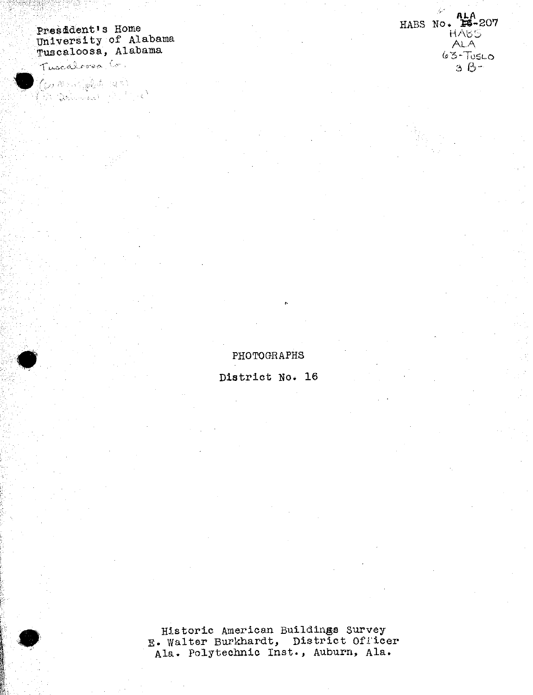## President's Home University of Alabama<br>Tuscaloosa, Alabama

Tuscalorea Co.

(Contract following the Sea<br>(Britan following the Search)

HABS No. 4LA<br>
HABS No. 56-207 **HABS** ALA.  $63 - TUSLO$  $3B^{-}$ 

PHOTOGRAPHS

District No. 16

Historic American Buildings Survey E. Walter Burkhardt, District Officer Ala. Polytechnic Inst., Auburn, Ala.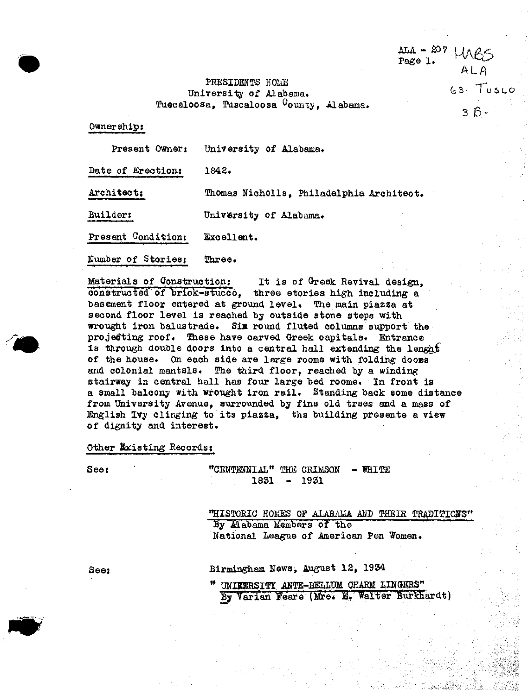PKESIDMOIS *mm* -- University of Alabama.  $T$ uecaloosa, Tuscaloosa  $C$ ounty, Alabama. ftps://www.ftps://www.ftps://www.ftps://www.ftps://www.ftps://www.ftps://www.ftps://www.ftps://www.ftps://www.ftps://www.ftps://www.ftps://www.ftps://www.ftps://www.ftps://www.f

ALA - 207  $UAG$ <br>Page 1.

ALA

Ownership?

Present Owner: University of Alabama.

Date of Erection: 1842.

Architect: Thomas Nicholls, Philadelphia Architect.

Builder: University of Alabama.

Present Condition: Excellent.

Number of Stories; Three.

Materials of Construction; It is of Gresk Revival design. constructed of brick-stucco, three stories high including a basement floor entered at ground level. The main piazza at second floor level is reached by outside stone steps with wrought iron balustrade. Six round fluted columns support the projecting roof. These have carved Greek capitals. Entrance is through double doors into a central hall extending the lenght of the house. On each side are large rooms with folding doors and colonial mantsls. The third floor, reached by a winding stairway in central hall has four large bed rooms. In front is a small balcony with wrought iron rail. Standing back some distance from University Avenue, surrounded by fine old trees and a mass of English Ivy clinging to its piazza, the building presents a view of dignity and interest.

Other Existing Records:

*m*

See: "CENTENNIAL" THE CRIMSON - WHITE<br>1831 - 1931 1831

> "HISTORIC HOMES OF ALABAMA AND THEIR TRADITIONS" By Alabama Members of the National League of American Pen Women.

See: Birmingham News, August 12, 1934

" UNIVERSITY ANTE-BELLUM CHARM LINGERS" By Varian Feare (Mre. E. Walter Burkhardt)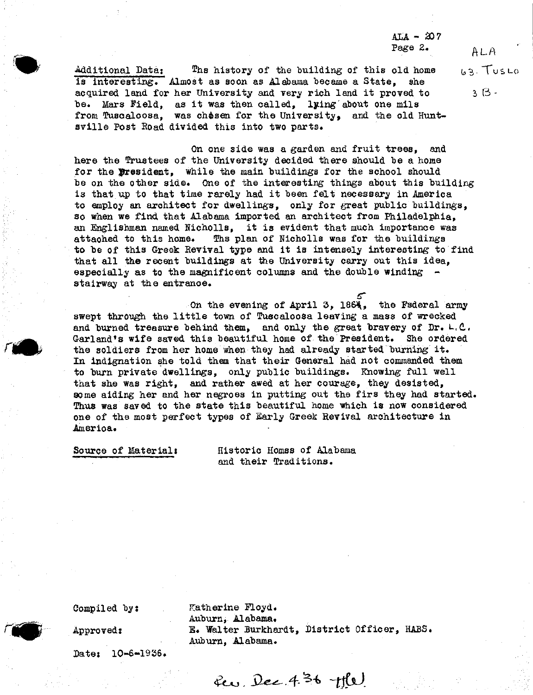*&U* - SO <sup>7</sup> Page 2.  $ALA$ 

Additional Data: The history of the building of this old home  $\begin{array}{c} \hbox{a.s.} \end{array}$ is interesting. Almost as soon as Alabama became a State, she acquired land for her University and very rich land it proved to  $3 \beta$ . he- Mars Field, as it was then called, lying' about one mile from Tuscaloosa, was chosen for the University, and the old Huntsville Post Eoad divided this into two parts.

On one side was a garden and fruit trees, and here the Trustees of the University decided there should be a home for the president, while the main buildings for the school should he on the other side. One of the interesting things about this building is that up to that time rarely had it been felt necessary in America to employ an architect for dwellings, only for great public buildings, so when we find that Alabama imported an architect from Philadelphia, an Englishman named Nicholls, it is evident that much importance was attached to this home. The plan of Nicholls was for the buildings Ths plan of Nicholls was for the buildings to he of this Greek Revival type and it is intensely interesting to find that all the recent buildings at the University carry out this idea, especially as to the magnificent columns and the double winding  $$ stairway at the entrance.

On the evening of April 3, 1864, the Federal army swept through the little town of Tuscaloosa leaving a mass of wrecked and burned treasure behind them, and only the great bravery of Dr.  $L, C$ . Garland's wife saved this beautiful home of the President. She ordered the soldiers from her home when they had already started burning it. In indignation she told them that their General had not commanded them to burn private dwellings, only public buildings. Knowing full well that she was right, and rather awed at her courage, they desisted, some aiding her and her negroes in putting out the fire they had started. Ehus was saved to the state this beautiful home which is now considered one of the most perfect types of Early Greek Hevival architecture in America.

Source of Material: Historic Homss of Alabama and their Traditions.

Datej 10-6-1936.

Compiled by: Katherine Floyd. Auburn, Alabama. Approved: E. Walter Burkhardt, District Officer, HABS. Auburn, Alabama.

**£co. JW.4^** *-t\$x).*



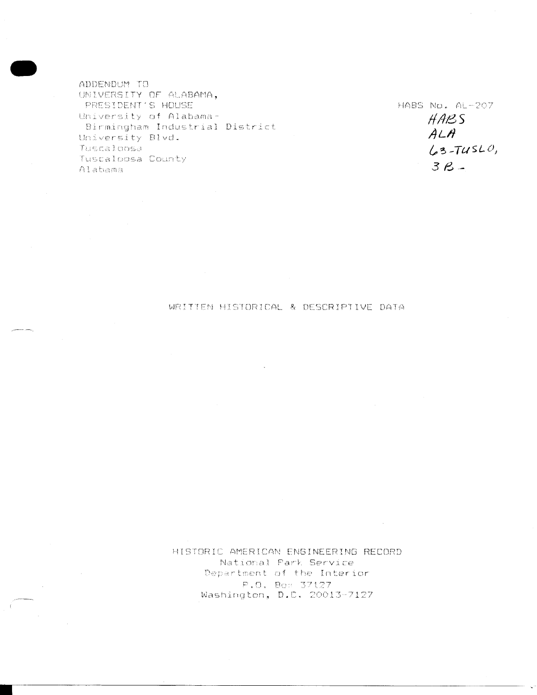ADDENDUM TO UNIVERSITY OF ALABAMA, PRESIDENT'S HOUSE University of Alabama-Birmingham Industrial District University Blvd. Tuscaloosa Tuscaloosa County Alabama

 $\mathcal{L}^{\text{max}}_{\text{max}}$ 

 $\sim 10^{11}$ 

 $\sim 10^{11}$  km  $^{-1}$ 

HABS No. AL-207 HABS  $ALA$  $63-TUSLO,$  $3B -$ 

## WRITTEN HISTORICAL & DESCRIPTIVE DATA

HISTORIC AMERICAN ENGINEERING RECORD National Park Service Department of the Interior P.O. Box 37127 Washington, D.C. 20013-7127

 $\sim 10^{-1}$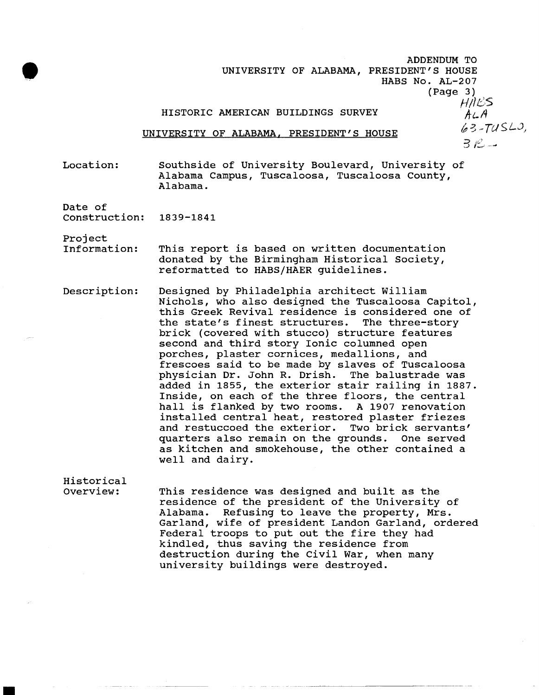ADDENDUM TO UNIVERSITY OF ALABAMA, PRESIDENT'S HOUSE HABS No. AL-207 (Page 3) HALS HISTORIC AMERICAN BUILDINGS SURVEY  $A \subset A$  $63 - TUSLO,$ UNIVERSITY OF ALABAMA, PRESIDENT'S HOUSE  $3R -$ 

Location: Southside of University Boulevard, University of Alabama Campus, Tuscaloosa, Tuscaloosa County, Alabama.

Date of

Project

Construction: 1839-1841

Historical

Information: This report is based on written documentation donated by the Birmingham Historical Society, reformatted to HABS/HAER guidelines.

Description: Designed by Philadelphia architect William Nichols, who also designed the Tuscaloosa Capitol, this Greek Revival residence is considered one of the state's finest structures. The three-story brick (covered with stucco) structure features second and third story Ionic columned open porches, plaster cornices, medallions, and frescoes said to be made by slaves of Tuscaloosa physician Dr. John R. Drish. The balustrade was added in 1855, the exterior stair railing in 1887. Inside, on each of the three floors, the central hall is flanked by two rooms. A 1907 renovation installed central heat, restored plaster friezes and restuccoed the exterior. Two brick servants' quarters also remain on the grounds. One served as kitchen and smokehouse, the other contained a well and dairy.

Overview: This residence was designed and built as the residence of the president of the University of Alabama. Refusing to leave the property, Mrs. Garland, wife of president Landon Garland, ordered Federal troops to put out the fire they had kindled, thus saving the residence from destruction during the Civil War, when many university buildings were destroyed.